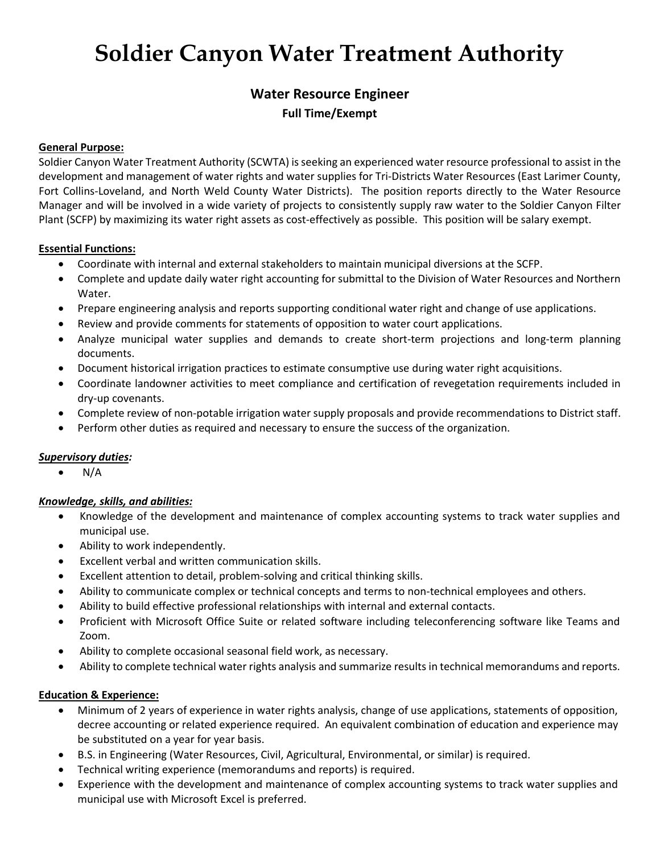# **Soldier Canyon Water Treatment Authority**

# **Water Resource Engineer Full Time/Exempt**

#### **General Purpose:**

Soldier Canyon Water Treatment Authority (SCWTA) is seeking an experienced water resource professional to assist in the development and management of water rights and water supplies for Tri-Districts Water Resources (East Larimer County, Fort Collins-Loveland, and North Weld County Water Districts). The position reports directly to the Water Resource Manager and will be involved in a wide variety of projects to consistently supply raw water to the Soldier Canyon Filter Plant (SCFP) by maximizing its water right assets as cost-effectively as possible. This position will be salary exempt.

#### **Essential Functions:**

- Coordinate with internal and external stakeholders to maintain municipal diversions at the SCFP.
- Complete and update daily water right accounting for submittal to the Division of Water Resources and Northern Water.
- Prepare engineering analysis and reports supporting conditional water right and change of use applications.
- Review and provide comments for statements of opposition to water court applications.
- Analyze municipal water supplies and demands to create short-term projections and long-term planning documents.
- Document historical irrigation practices to estimate consumptive use during water right acquisitions.
- Coordinate landowner activities to meet compliance and certification of revegetation requirements included in dry-up covenants.
- Complete review of non-potable irrigation water supply proposals and provide recommendations to District staff.
- Perform other duties as required and necessary to ensure the success of the organization.

# *Supervisory duties:*

• N/A

# *Knowledge, skills, and abilities:*

- Knowledge of the development and maintenance of complex accounting systems to track water supplies and municipal use.
- Ability to work independently.
- Excellent verbal and written communication skills.
- Excellent attention to detail, problem-solving and critical thinking skills.
- Ability to communicate complex or technical concepts and terms to non-technical employees and others.
- Ability to build effective professional relationships with internal and external contacts.
- Proficient with Microsoft Office Suite or related software including teleconferencing software like Teams and Zoom.
- Ability to complete occasional seasonal field work, as necessary.
- Ability to complete technical water rights analysis and summarize results in technical memorandums and reports.

#### **Education & Experience:**

- Minimum of 2 years of experience in water rights analysis, change of use applications, statements of opposition, decree accounting or related experience required. An equivalent combination of education and experience may be substituted on a year for year basis.
- B.S. in Engineering (Water Resources, Civil, Agricultural, Environmental, or similar) is required.
- Technical writing experience (memorandums and reports) is required.
- Experience with the development and maintenance of complex accounting systems to track water supplies and municipal use with Microsoft Excel is preferred.